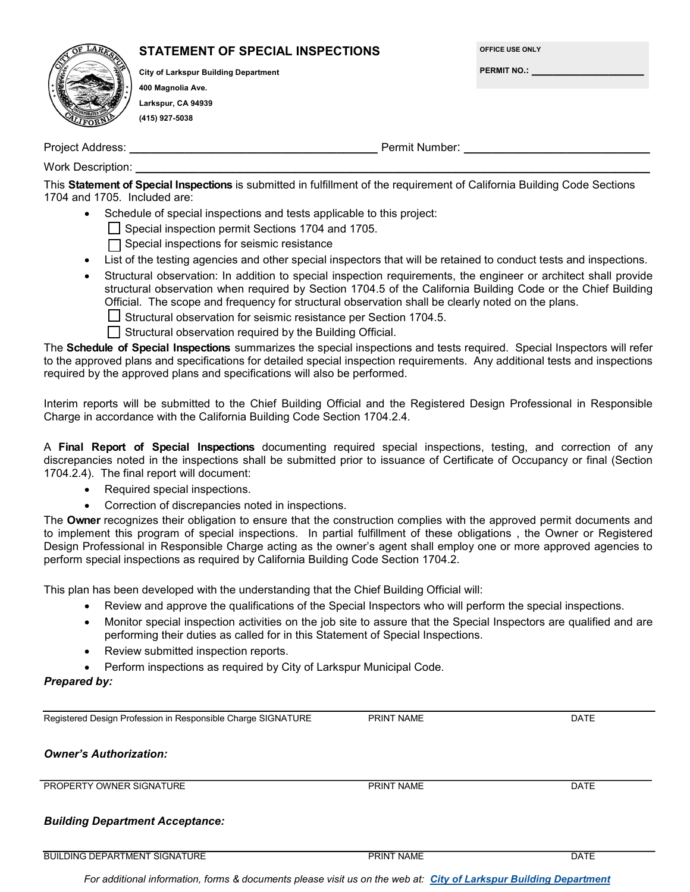| AR               | STATEMENT OF SPECIAL INSPECTIONS            |                |
|------------------|---------------------------------------------|----------------|
|                  | <b>City of Larkspur Building Department</b> |                |
|                  | 400 Magnolia Ave.                           |                |
|                  | Larkspur, CA 94939                          |                |
|                  | (415) 927-5038                              |                |
| Project Address: |                                             | Permit Number: |

**OFFICE USE ONLY**

**PERMIT NO.: \_\_\_\_\_\_\_\_\_\_\_\_\_\_\_\_**

Work Description:

This **Statement of Special Inspections** is submitted in fulfillment of the requirement of California Building Code Sections 1704 and 1705. Included are:

Schedule of special inspections and tests applicable to this project:

Special inspection permit Sections 1704 and 1705.

 $\Box$  Special inspections for seismic resistance

- List of the testing agencies and other special inspectors that will be retained to conduct tests and inspections.
- Structural observation: In addition to special inspection requirements, the engineer or architect shall provide structural observation when required by Section 1704.5 of the California Building Code or the Chief Building Official. The scope and frequency for structural observation shall be clearly noted on the plans.
	- $\Box$  Structural observation for seismic resistance per Section 1704.5.
	- $\Box$  Structural observation required by the Building Official.

The **Schedule of Special Inspections** summarizes the special inspections and tests required. Special Inspectors will refer to the approved plans and specifications for detailed special inspection requirements. Any additional tests and inspections required by the approved plans and specifications will also be performed.

Interim reports will be submitted to the Chief Building Official and the Registered Design Professional in Responsible Charge in accordance with the California Building Code Section 1704.2.4.

A **Final Report of Special Inspections** documenting required special inspections, testing, and correction of any discrepancies noted in the inspections shall be submitted prior to issuance of Certificate of Occupancy or final (Section 1704.2.4). The final report will document:

- Required special inspections.
- Correction of discrepancies noted in inspections.

The **Owner** recognizes their obligation to ensure that the construction complies with the approved permit documents and to implement this program of special inspections. In partial fulfillment of these obligations , the Owner or Registered Design Professional in Responsible Charge acting as the owner's agent shall employ one or more approved agencies to perform special inspections as required by California Building Code Section 1704.2.

This plan has been developed with the understanding that the Chief Building Official will:

- Review and approve the qualifications of the Special Inspectors who will perform the special inspections.
- Monitor special inspection activities on the job site to assure that the Special Inspectors are qualified and are performing their duties as called for in this Statement of Special Inspections.
- Review submitted inspection reports.
- Perform inspections as required by City of Larkspur Municipal Code.

# *Prepared by:*

Registered Design Profession in Responsible Charge SIGNATURE **PRINT NAME** PRINT NAME

*Owner's Authorization:*

PROPERTY OWNER SIGNATURE **Example 2008** PRINT NAME **PRINT NAME** DATE

# *Building Department Acceptance:*

BUILDING DEPARTMENT SIGNATURE THE RESERVE OF PRINT NAME THE PRINT NAME DATE

*For additional information, forms & documents please visit us on the web at: City of Larkspur Building Department*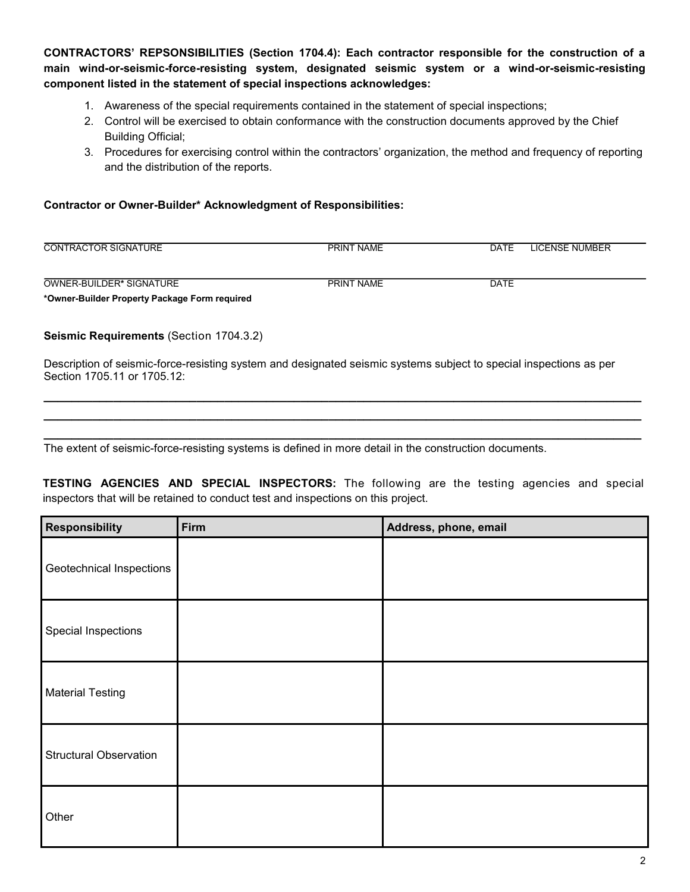**CONTRACTORS' REPSONSIBILITIES (Section 1704.4): Each contractor responsible for the construction of a main wind-or-seismic-force-resisting system, designated seismic system or a wind-or-seismic-resisting component listed in the statement of special inspections acknowledges:**

- 1. Awareness of the special requirements contained in the statement of special inspections;
- 2. Control will be exercised to obtain conformance with the construction documents approved by the Chief Building Official;
- 3. Procedures for exercising control within the contractors' organization, the method and frequency of reporting and the distribution of the reports.

### **Contractor or Owner-Builder\* Acknowledgment of Responsibilities:**

| <b>CONTRACTOR SIGNATURE</b> | <b>PRINT NAME</b> | DATE | LICENSE NUMBER |
|-----------------------------|-------------------|------|----------------|
|                             |                   |      |                |
| OWNER-BUILDER* SIGNATURE    | <b>PRINT NAME</b> | DATE |                |

**\*Owner-Builder Property Package Form required** 

**Seismic Requirements** (Section 1704.3.2)

Description of seismic-force-resisting system and designated seismic systems subject to special inspections as per Section 1705.11 or 1705.12:

**\_\_\_\_\_\_\_\_\_\_\_\_\_\_\_\_\_\_\_\_\_\_\_\_\_\_\_\_\_\_\_\_\_\_\_\_\_\_\_\_\_\_\_\_\_\_\_\_\_\_\_\_\_\_\_\_\_\_\_\_\_\_\_\_\_\_\_\_\_\_\_\_\_\_\_\_\_\_\_\_\_\_\_\_\_\_ \_\_\_\_\_\_\_\_\_\_\_\_\_\_\_\_\_\_\_\_\_\_\_\_\_\_\_\_\_\_\_\_\_\_\_\_\_\_\_\_\_\_\_\_\_\_\_\_\_\_\_\_\_\_\_\_\_\_\_\_\_\_\_\_\_\_\_\_\_\_\_\_\_\_\_\_\_\_\_\_\_\_\_\_\_\_ \_\_\_\_\_\_\_\_\_\_\_\_\_\_\_\_\_\_\_\_\_\_\_\_\_\_\_\_\_\_\_\_\_\_\_\_\_\_\_\_\_\_\_\_\_\_\_\_\_\_\_\_\_\_\_\_\_\_\_\_\_\_\_\_\_\_\_\_\_\_\_\_\_\_\_\_\_\_\_\_\_\_\_\_\_\_**

The extent of seismic-force-resisting systems is defined in more detail in the construction documents.

**TESTING AGENCIES AND SPECIAL INSPECTORS:** The following are the testing agencies and special inspectors that will be retained to conduct test and inspections on this project.

| Responsibility                | Firm | Address, phone, email |
|-------------------------------|------|-----------------------|
| Geotechnical Inspections      |      |                       |
| Special Inspections           |      |                       |
| <b>Material Testing</b>       |      |                       |
| <b>Structural Observation</b> |      |                       |
| Other                         |      |                       |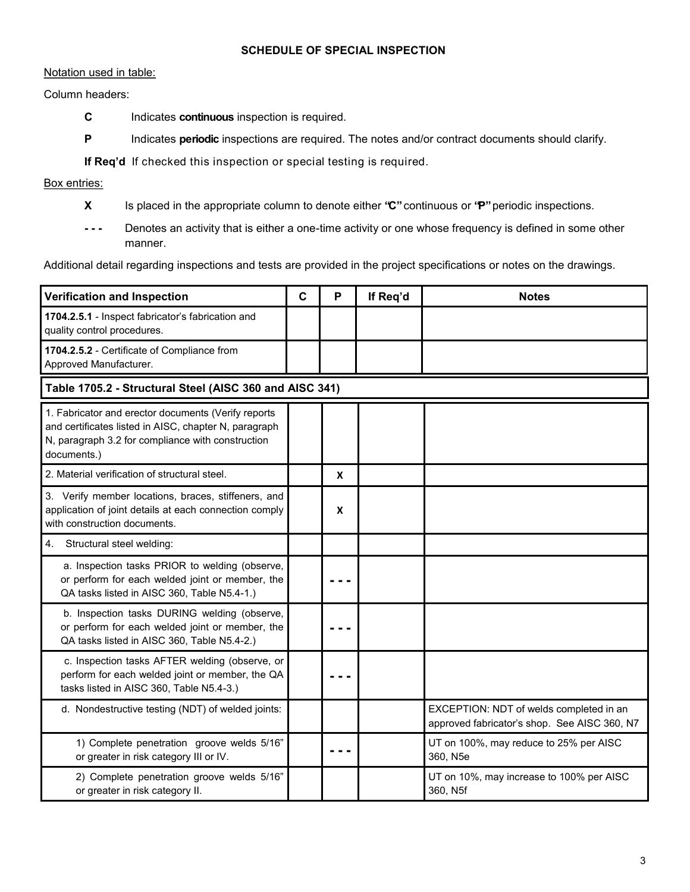### **SCHEDULE OF SPECIAL INSPECTION**

### Notation used in table:

#### Column headers:

- **C** Indicates **continuous** inspection is required.
- **P** Indicates **periodic** inspections are required. The notes and/or contract documents should clarify.

**If Req'd** If checked this inspection or special testing is required.

## Box entries:

- **X** Is placed in the appropriate column to denote either **"C"** continuous or **"P"** periodic inspections.
- **- - -** Denotes an activity that is either a one-time activity or one whose frequency is defined in some other manner.

Additional detail regarding inspections and tests are provided in the project specifications or notes on the drawings.

| Verification and Inspection                                                                                                                                                      | $\mathbf C$ | P | If Req'd | <b>Notes</b>                                                                            |  |
|----------------------------------------------------------------------------------------------------------------------------------------------------------------------------------|-------------|---|----------|-----------------------------------------------------------------------------------------|--|
| 1704.2.5.1 - Inspect fabricator's fabrication and<br>quality control procedures.                                                                                                 |             |   |          |                                                                                         |  |
| 1704.2.5.2 - Certificate of Compliance from<br>Approved Manufacturer.                                                                                                            |             |   |          |                                                                                         |  |
| Table 1705.2 - Structural Steel (AISC 360 and AISC 341)                                                                                                                          |             |   |          |                                                                                         |  |
| 1. Fabricator and erector documents (Verify reports<br>and certificates listed in AISC, chapter N, paragraph<br>N, paragraph 3.2 for compliance with construction<br>documents.) |             |   |          |                                                                                         |  |
| 2. Material verification of structural steel.                                                                                                                                    |             | X |          |                                                                                         |  |
| 3. Verify member locations, braces, stiffeners, and<br>application of joint details at each connection comply<br>with construction documents.                                    |             | X |          |                                                                                         |  |
| Structural steel welding:<br>4.                                                                                                                                                  |             |   |          |                                                                                         |  |
| a. Inspection tasks PRIOR to welding (observe,<br>or perform for each welded joint or member, the<br>QA tasks listed in AISC 360, Table N5.4-1.)                                 |             |   |          |                                                                                         |  |
| b. Inspection tasks DURING welding (observe,<br>or perform for each welded joint or member, the<br>QA tasks listed in AISC 360, Table N5.4-2.)                                   |             |   |          |                                                                                         |  |
| c. Inspection tasks AFTER welding (observe, or<br>perform for each welded joint or member, the QA<br>tasks listed in AISC 360, Table N5.4-3.)                                    |             |   |          |                                                                                         |  |
| d. Nondestructive testing (NDT) of welded joints:                                                                                                                                |             |   |          | EXCEPTION: NDT of welds completed in an<br>approved fabricator's shop. See AISC 360, N7 |  |
| 1) Complete penetration groove welds 5/16"<br>or greater in risk category III or IV.                                                                                             |             |   |          | UT on 100%, may reduce to 25% per AISC<br>360, N5e                                      |  |
| 2) Complete penetration groove welds 5/16"<br>or greater in risk category II.                                                                                                    |             |   |          | UT on 10%, may increase to 100% per AISC<br>360, N5f                                    |  |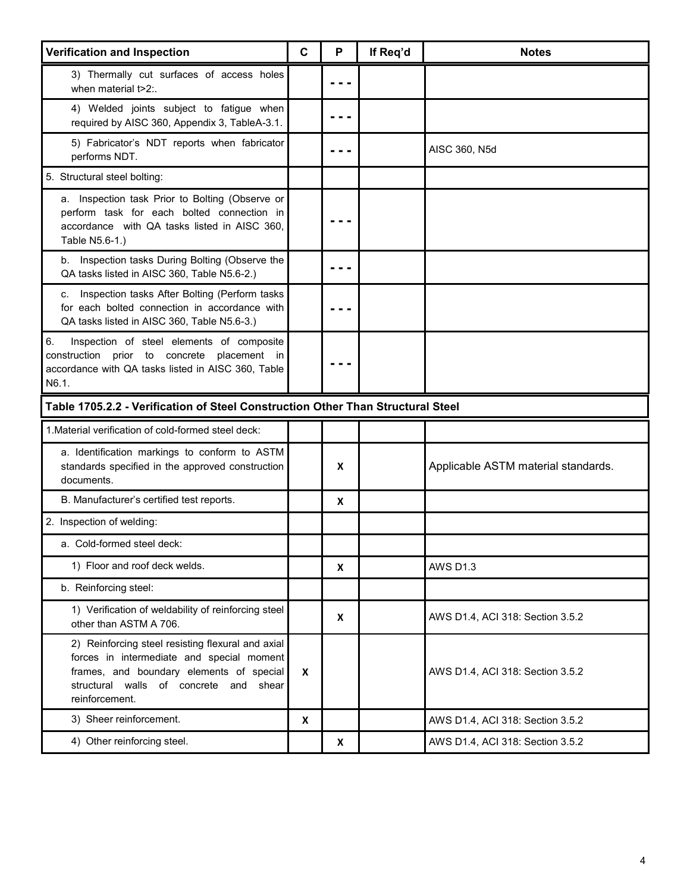| Verification and Inspection                                                                                                                                                                            | C                  | P | If Req'd | <b>Notes</b>                        |
|--------------------------------------------------------------------------------------------------------------------------------------------------------------------------------------------------------|--------------------|---|----------|-------------------------------------|
| 3) Thermally cut surfaces of access holes<br>when material t>2:.                                                                                                                                       |                    |   |          |                                     |
| 4) Welded joints subject to fatigue when<br>required by AISC 360, Appendix 3, TableA-3.1.                                                                                                              |                    |   |          |                                     |
| 5) Fabricator's NDT reports when fabricator<br>performs NDT.                                                                                                                                           |                    |   |          | AISC 360, N5d                       |
| 5. Structural steel bolting:                                                                                                                                                                           |                    |   |          |                                     |
| a. Inspection task Prior to Bolting (Observe or<br>perform task for each bolted connection in<br>accordance with QA tasks listed in AISC 360,<br>Table N5.6-1.)                                        |                    |   |          |                                     |
| Inspection tasks During Bolting (Observe the<br>b.<br>QA tasks listed in AISC 360, Table N5.6-2.)                                                                                                      |                    |   |          |                                     |
| Inspection tasks After Bolting (Perform tasks<br>C.<br>for each bolted connection in accordance with<br>QA tasks listed in AISC 360, Table N5.6-3.)                                                    |                    |   |          |                                     |
| 6.<br>Inspection of steel elements of composite<br>construction prior to concrete placement in<br>accordance with QA tasks listed in AISC 360, Table<br>N6.1.                                          |                    |   |          |                                     |
| Table 1705.2.2 - Verification of Steel Construction Other Than Structural Steel                                                                                                                        |                    |   |          |                                     |
| 1. Material verification of cold-formed steel deck:                                                                                                                                                    |                    |   |          |                                     |
| a. Identification markings to conform to ASTM<br>standards specified in the approved construction<br>documents.                                                                                        |                    | X |          | Applicable ASTM material standards. |
| B. Manufacturer's certified test reports.                                                                                                                                                              |                    | X |          |                                     |
| 2. Inspection of welding:                                                                                                                                                                              |                    |   |          |                                     |
| a. Cold-formed steel deck:                                                                                                                                                                             |                    |   |          |                                     |
| 1) Floor and roof deck welds.                                                                                                                                                                          |                    | X |          | <b>AWS D1.3</b>                     |
| b. Reinforcing steel:                                                                                                                                                                                  |                    |   |          |                                     |
| 1) Verification of weldability of reinforcing steel<br>other than ASTM A 706.                                                                                                                          |                    | X |          | AWS D1.4, ACI 318: Section 3.5.2    |
| 2) Reinforcing steel resisting flexural and axial<br>forces in intermediate and special moment<br>frames, and boundary elements of special<br>structural walls of concrete and shear<br>reinforcement. | $\boldsymbol{x}$   |   |          | AWS D1.4, ACI 318: Section 3.5.2    |
| 3) Sheer reinforcement.                                                                                                                                                                                | $\pmb{\mathsf{X}}$ |   |          | AWS D1.4, ACI 318: Section 3.5.2    |
| 4) Other reinforcing steel.                                                                                                                                                                            |                    | X |          | AWS D1.4, ACI 318: Section 3.5.2    |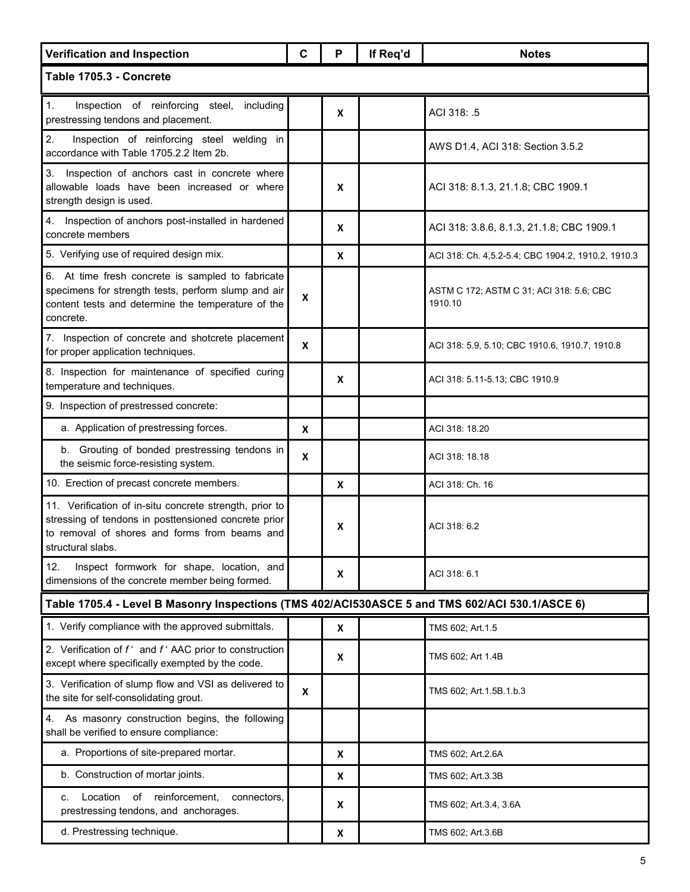| <b>Verification and Inspection</b>                                                                                                                                                    | C                | P | If Req'd | <b>Notes</b>                                        |  |  |
|---------------------------------------------------------------------------------------------------------------------------------------------------------------------------------------|------------------|---|----------|-----------------------------------------------------|--|--|
| Table 1705.3 - Concrete                                                                                                                                                               |                  |   |          |                                                     |  |  |
| Inspection of reinforcing steel, including<br>1.<br>prestressing tendons and placement.                                                                                               |                  | X |          | ACI 318: .5                                         |  |  |
| 2.<br>Inspection of reinforcing steel welding<br>in<br>accordance with Table 1705.2.2 Item 2b.                                                                                        |                  |   |          | AWS D1.4, ACI 318: Section 3.5.2                    |  |  |
| 3. Inspection of anchors cast in concrete where<br>allowable loads have been increased or where<br>strength design is used.                                                           |                  | x |          | ACI 318: 8.1.3, 21.1.8; CBC 1909.1                  |  |  |
| 4. Inspection of anchors post-installed in hardened<br>concrete members                                                                                                               |                  | X |          | ACI 318: 3.8.6, 8.1.3, 21.1.8; CBC 1909.1           |  |  |
| 5. Verifying use of required design mix.                                                                                                                                              |                  | X |          | ACI 318: Ch. 4,5.2-5.4; CBC 1904.2, 1910.2, 1910.3  |  |  |
| 6. At time fresh concrete is sampled to fabricate<br>specimens for strength tests, perform slump and air<br>content tests and determine the temperature of the<br>concrete.           | X                |   |          | ASTM C 172; ASTM C 31; ACI 318: 5.6; CBC<br>1910.10 |  |  |
| 7. Inspection of concrete and shotcrete placement<br>for proper application techniques.                                                                                               | X                |   |          | ACI 318: 5.9, 5.10; CBC 1910.6, 1910.7, 1910.8      |  |  |
| 8. Inspection for maintenance of specified curing<br>temperature and techniques.                                                                                                      |                  | X |          | ACI 318: 5.11-5.13; CBC 1910.9                      |  |  |
| 9. Inspection of prestressed concrete:                                                                                                                                                |                  |   |          |                                                     |  |  |
| a. Application of prestressing forces.                                                                                                                                                | X                |   |          | ACI 318: 18.20                                      |  |  |
| b. Grouting of bonded prestressing tendons in<br>the seismic force-resisting system.                                                                                                  | $\boldsymbol{x}$ |   |          | ACI 318: 18.18                                      |  |  |
| 10. Erection of precast concrete members.                                                                                                                                             |                  | X |          | ACI 318: Ch. 16                                     |  |  |
| 11. Verification of in-situ concrete strength, prior to<br>stressing of tendons in posttensioned concrete prior<br>to removal of shores and forms from beams and<br>structural slabs. |                  | x |          | ACI 318: 6.2                                        |  |  |
| Inspect formwork for shape, location, and<br>12.<br>dimensions of the concrete member being formed.                                                                                   |                  | X |          | ACI 318: 6.1                                        |  |  |
| Table 1705.4 - Level B Masonry Inspections (TMS 402/ACI530ASCE 5 and TMS 602/ACI 530.1/ASCE 6)                                                                                        |                  |   |          |                                                     |  |  |
| 1. Verify compliance with the approved submittals.                                                                                                                                    |                  | X |          | TMS 602; Art.1.5                                    |  |  |
| 2. Verification of $f^*$ and $f^*$ AAC prior to construction<br>except where specifically exempted by the code.                                                                       |                  | X |          | TMS 602; Art 1.4B                                   |  |  |
| 3. Verification of slump flow and VSI as delivered to<br>the site for self-consolidating grout.                                                                                       | x                |   |          | TMS 602; Art. 1.5B. 1.b. 3                          |  |  |
| As masonry construction begins, the following<br>4.<br>shall be verified to ensure compliance:                                                                                        |                  |   |          |                                                     |  |  |
| a. Proportions of site-prepared mortar.                                                                                                                                               |                  | X |          | TMS 602; Art.2.6A                                   |  |  |
| b. Construction of mortar joints.                                                                                                                                                     |                  | X |          | TMS 602; Art.3.3B                                   |  |  |
| of reinforcement,<br>Location<br>connectors.<br>c.<br>prestressing tendons, and anchorages.                                                                                           |                  | X |          | TMS 602; Art.3.4, 3.6A                              |  |  |
| d. Prestressing technique.                                                                                                                                                            |                  | X |          | TMS 602; Art.3.6B                                   |  |  |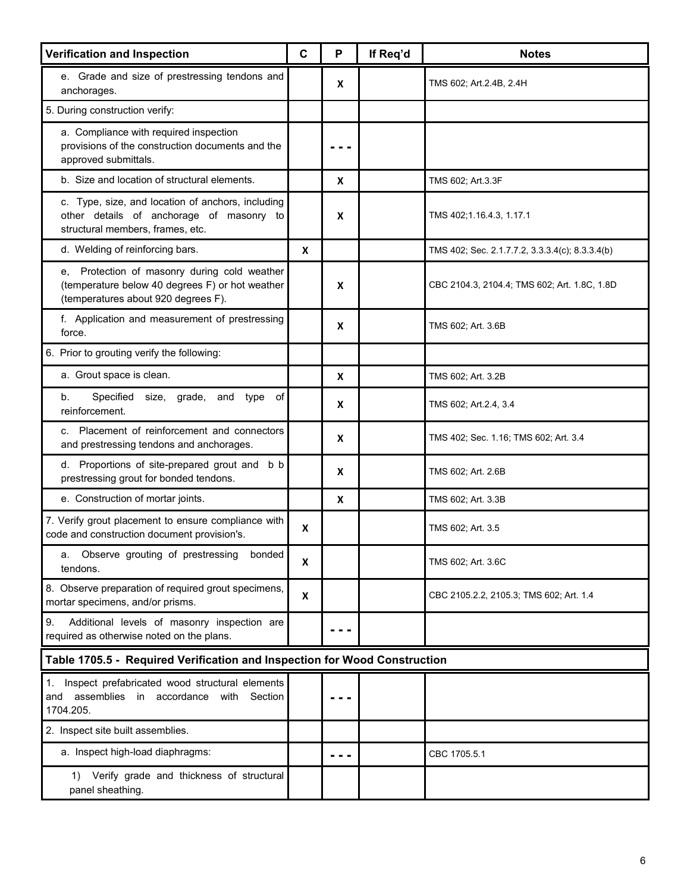| Verification and Inspection                                                                                                            | C | P   | If Req'd | <b>Notes</b>                                    |  |  |
|----------------------------------------------------------------------------------------------------------------------------------------|---|-----|----------|-------------------------------------------------|--|--|
| e. Grade and size of prestressing tendons and<br>anchorages.                                                                           |   | X   |          | TMS 602; Art.2.4B, 2.4H                         |  |  |
| 5. During construction verify:                                                                                                         |   |     |          |                                                 |  |  |
| a. Compliance with required inspection<br>provisions of the construction documents and the<br>approved submittals.                     |   |     |          |                                                 |  |  |
| b. Size and location of structural elements.                                                                                           |   | X   |          | TMS 602; Art.3.3F                               |  |  |
| c. Type, size, and location of anchors, including<br>other details of anchorage of masonry to<br>structural members, frames, etc.      |   | x   |          | TMS 402;1.16.4.3, 1.17.1                        |  |  |
| d. Welding of reinforcing bars.                                                                                                        | X |     |          | TMS 402; Sec. 2.1.7.7.2, 3.3.3.4(c); 8.3.3.4(b) |  |  |
| e, Protection of masonry during cold weather<br>(temperature below 40 degrees F) or hot weather<br>(temperatures about 920 degrees F). |   | x   |          | CBC 2104.3, 2104.4; TMS 602; Art. 1.8C, 1.8D    |  |  |
| f. Application and measurement of prestressing<br>force.                                                                               |   | X   |          | TMS 602; Art. 3.6B                              |  |  |
| 6. Prior to grouting verify the following:                                                                                             |   |     |          |                                                 |  |  |
| a. Grout space is clean.                                                                                                               |   | X   |          | TMS 602; Art. 3.2B                              |  |  |
| Specified<br>size, grade, and type<br>b.<br>оf<br>reinforcement.                                                                       |   | X   |          | TMS 602; Art.2.4, 3.4                           |  |  |
| c. Placement of reinforcement and connectors<br>and prestressing tendons and anchorages.                                               |   | X   |          | TMS 402; Sec. 1.16; TMS 602; Art. 3.4           |  |  |
| d. Proportions of site-prepared grout and b b<br>prestressing grout for bonded tendons.                                                |   | X   |          | TMS 602; Art. 2.6B                              |  |  |
| e. Construction of mortar joints.                                                                                                      |   | X   |          | TMS 602; Art. 3.3B                              |  |  |
| 7. Verify grout placement to ensure compliance with<br>code and construction document provision's.                                     | X |     |          | TMS 602; Art. 3.5                               |  |  |
| Observe grouting of prestressing<br>bonded<br>а.<br>tendons.                                                                           | X |     |          | TMS 602; Art. 3.6C                              |  |  |
| 8. Observe preparation of required grout specimens,<br>mortar specimens, and/or prisms.                                                | X |     |          | CBC 2105.2.2, 2105.3; TMS 602; Art. 1.4         |  |  |
| 9.<br>Additional levels of masonry inspection are<br>required as otherwise noted on the plans.                                         |   |     |          |                                                 |  |  |
| Table 1705.5 - Required Verification and Inspection for Wood Construction                                                              |   |     |          |                                                 |  |  |
| 1. Inspect prefabricated wood structural elements<br>assemblies in accordance<br>with<br>Section<br>and<br>1704.205.                   |   |     |          |                                                 |  |  |
| 2. Inspect site built assemblies.                                                                                                      |   |     |          |                                                 |  |  |
| a. Inspect high-load diaphragms:                                                                                                       |   | . . |          | CBC 1705.5.1                                    |  |  |
| 1) Verify grade and thickness of structural<br>panel sheathing.                                                                        |   |     |          |                                                 |  |  |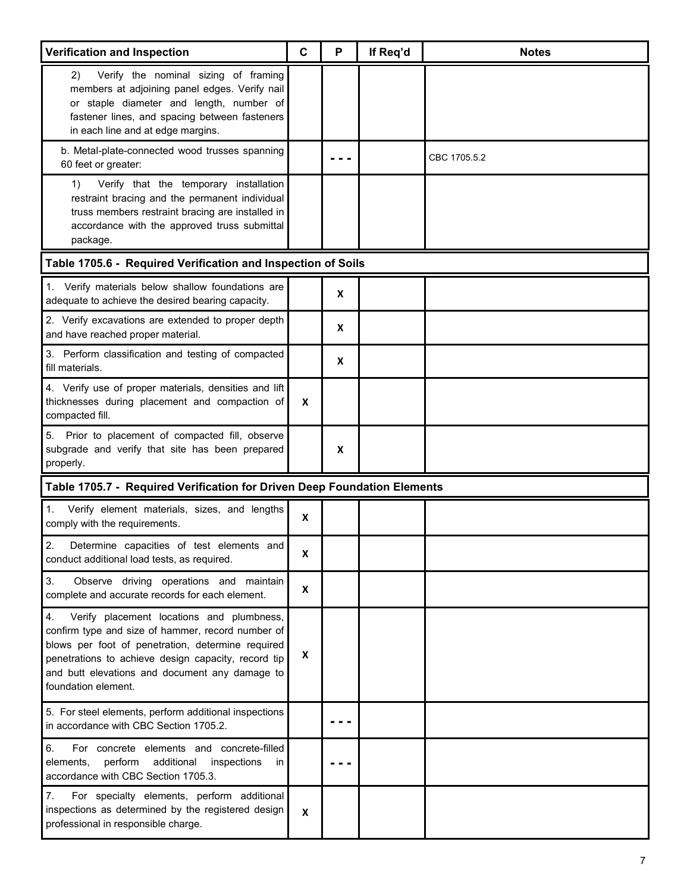| <b>Verification and Inspection</b>                                                                                                                                                                                                                                                        | $\mathbf C$ | P | If Req'd | <b>Notes</b> |
|-------------------------------------------------------------------------------------------------------------------------------------------------------------------------------------------------------------------------------------------------------------------------------------------|-------------|---|----------|--------------|
| Verify the nominal sizing of framing<br>2)<br>members at adjoining panel edges. Verify nail<br>or staple diameter and length, number of<br>fastener lines, and spacing between fasteners<br>in each line and at edge margins.                                                             |             |   |          |              |
| b. Metal-plate-connected wood trusses spanning<br>60 feet or greater:                                                                                                                                                                                                                     |             |   |          | CBC 1705.5.2 |
| Verify that the temporary installation<br>1)<br>restraint bracing and the permanent individual<br>truss members restraint bracing are installed in<br>accordance with the approved truss submittal<br>package.                                                                            |             |   |          |              |
| Table 1705.6 - Required Verification and Inspection of Soils                                                                                                                                                                                                                              |             |   |          |              |
| 1. Verify materials below shallow foundations are<br>adequate to achieve the desired bearing capacity.                                                                                                                                                                                    |             | X |          |              |
| 2. Verify excavations are extended to proper depth<br>and have reached proper material.                                                                                                                                                                                                   |             | X |          |              |
| 3. Perform classification and testing of compacted<br>fill materials.                                                                                                                                                                                                                     |             | X |          |              |
| 4. Verify use of proper materials, densities and lift<br>thicknesses during placement and compaction of<br>compacted fill.                                                                                                                                                                | X           |   |          |              |
| Prior to placement of compacted fill, observe<br>5.<br>subgrade and verify that site has been prepared<br>properly.                                                                                                                                                                       |             | X |          |              |
| Table 1705.7 - Required Verification for Driven Deep Foundation Elements                                                                                                                                                                                                                  |             |   |          |              |
| Verify element materials, sizes, and lengths<br>1.<br>comply with the requirements.                                                                                                                                                                                                       | X           |   |          |              |
| 2.<br>Determine capacities of test elements and<br>conduct additional load tests, as required.                                                                                                                                                                                            | X           |   |          |              |
| 3.<br>Observe driving operations and maintain<br>complete and accurate records for each element.                                                                                                                                                                                          | X           |   |          |              |
| 4.<br>Verify placement locations and plumbness,<br>confirm type and size of hammer, record number of<br>blows per foot of penetration, determine required<br>penetrations to achieve design capacity, record tip<br>and butt elevations and document any damage to<br>foundation element. | X           |   |          |              |
| 5. For steel elements, perform additional inspections<br>in accordance with CBC Section 1705.2.                                                                                                                                                                                           |             |   |          |              |
| 6.<br>For concrete elements and concrete-filled<br>perform<br>additional<br>inspections<br>elements,<br>ın<br>accordance with CBC Section 1705.3.                                                                                                                                         |             |   |          |              |
| For specialty elements, perform additional<br>7.<br>inspections as determined by the registered design<br>professional in responsible charge.                                                                                                                                             | X           |   |          |              |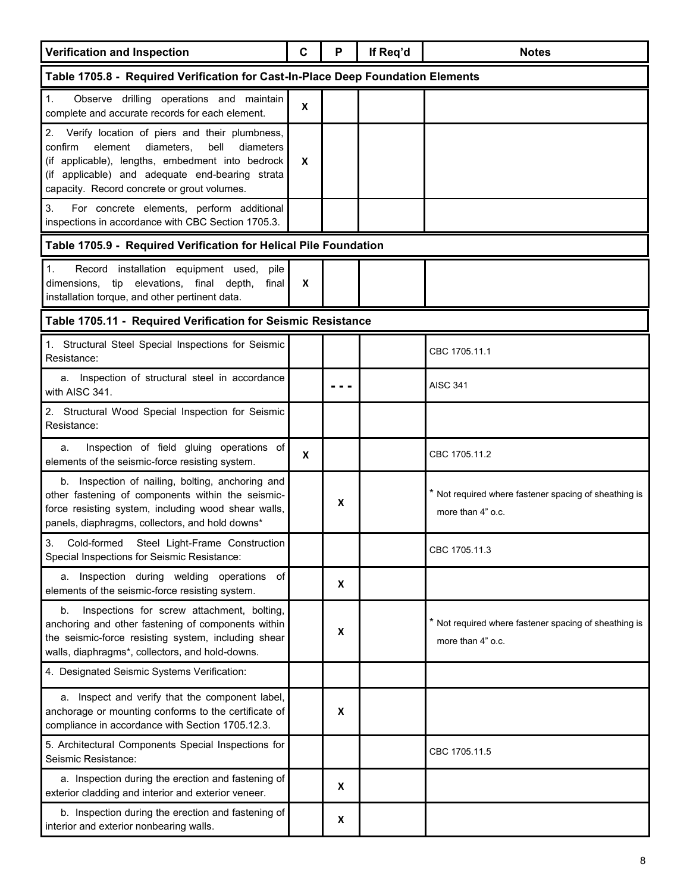| <b>Verification and Inspection</b>                                                                                                                                                                                                                              | C | P | If Req'd | <b>Notes</b>                                                               |  |  |
|-----------------------------------------------------------------------------------------------------------------------------------------------------------------------------------------------------------------------------------------------------------------|---|---|----------|----------------------------------------------------------------------------|--|--|
| Table 1705.8 - Required Verification for Cast-In-Place Deep Foundation Elements                                                                                                                                                                                 |   |   |          |                                                                            |  |  |
| Observe drilling operations and maintain<br>1.<br>complete and accurate records for each element.                                                                                                                                                               | X |   |          |                                                                            |  |  |
| 2. Verify location of piers and their plumbness,<br>element<br>diameters.<br>bell<br>confirm<br>diameters<br>(if applicable), lengths, embedment into bedrock<br>(if applicable) and adequate end-bearing strata<br>capacity. Record concrete or grout volumes. | X |   |          |                                                                            |  |  |
| 3.<br>For concrete elements, perform additional<br>inspections in accordance with CBC Section 1705.3.                                                                                                                                                           |   |   |          |                                                                            |  |  |
| Table 1705.9 - Required Verification for Helical Pile Foundation                                                                                                                                                                                                |   |   |          |                                                                            |  |  |
| Record installation equipment used,<br>pile<br>1.<br>dimensions.<br>tip elevations, final depth,<br>final<br>installation torque, and other pertinent data.                                                                                                     | X |   |          |                                                                            |  |  |
| Table 1705.11 - Required Verification for Seismic Resistance                                                                                                                                                                                                    |   |   |          |                                                                            |  |  |
| 1. Structural Steel Special Inspections for Seismic<br>Resistance:                                                                                                                                                                                              |   |   |          | CBC 1705.11.1                                                              |  |  |
| a. Inspection of structural steel in accordance<br>with AISC 341.                                                                                                                                                                                               |   |   |          | <b>AISC 341</b>                                                            |  |  |
| 2. Structural Wood Special Inspection for Seismic<br>Resistance:                                                                                                                                                                                                |   |   |          |                                                                            |  |  |
| Inspection of field gluing operations of<br>a.<br>elements of the seismic-force resisting system.                                                                                                                                                               | X |   |          | CBC 1705.11.2                                                              |  |  |
| b. Inspection of nailing, bolting, anchoring and<br>other fastening of components within the seismic-<br>force resisting system, including wood shear walls,<br>panels, diaphragms, collectors, and hold downs*                                                 |   | X |          | * Not required where fastener spacing of sheathing is<br>more than 4" o.c. |  |  |
| $\mathcal{S}$<br>Cold-formed Steel Light-Frame Construction<br>Special Inspections for Seismic Resistance:                                                                                                                                                      |   |   |          | CBC 1705.11.3                                                              |  |  |
| a. Inspection during welding operations<br>of<br>elements of the seismic-force resisting system.                                                                                                                                                                |   | X |          |                                                                            |  |  |
| Inspections for screw attachment, bolting,<br>b.<br>anchoring and other fastening of components within<br>the seismic-force resisting system, including shear<br>walls, diaphragms*, collectors, and hold-downs.                                                |   | X |          | * Not required where fastener spacing of sheathing is<br>more than 4" o.c. |  |  |
| 4. Designated Seismic Systems Verification:                                                                                                                                                                                                                     |   |   |          |                                                                            |  |  |
| a. Inspect and verify that the component label,<br>anchorage or mounting conforms to the certificate of<br>compliance in accordance with Section 1705.12.3.                                                                                                     |   | X |          |                                                                            |  |  |
| 5. Architectural Components Special Inspections for<br>Seismic Resistance:                                                                                                                                                                                      |   |   |          | CBC 1705.11.5                                                              |  |  |
| a. Inspection during the erection and fastening of<br>exterior cladding and interior and exterior veneer.                                                                                                                                                       |   | X |          |                                                                            |  |  |
| b. Inspection during the erection and fastening of<br>interior and exterior nonbearing walls.                                                                                                                                                                   |   | X |          |                                                                            |  |  |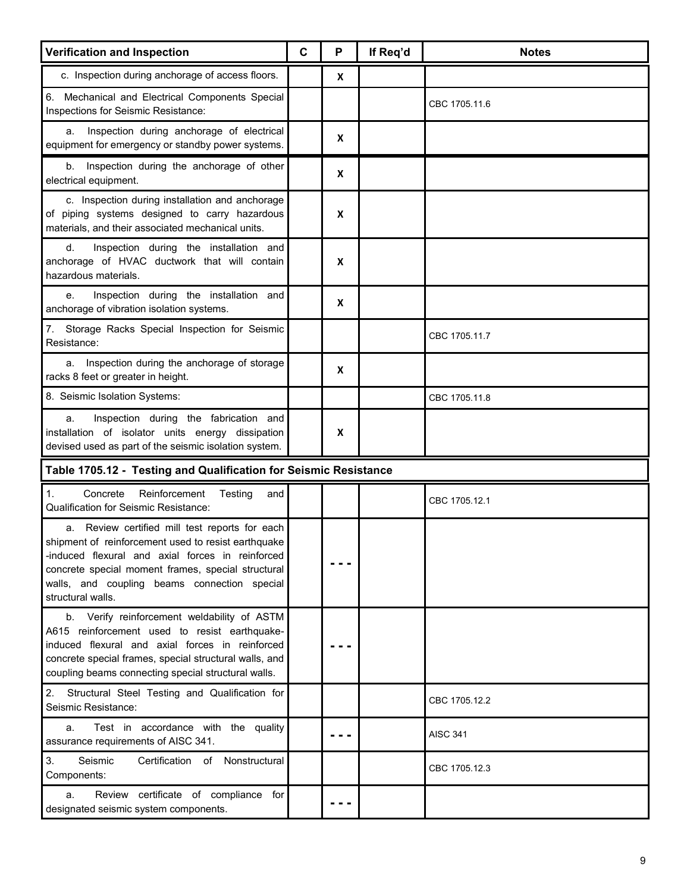| <b>Verification and Inspection</b>                                                                                                                                                                                                                                                   | $\mathbf C$ | P                | If Req'd | <b>Notes</b>    |
|--------------------------------------------------------------------------------------------------------------------------------------------------------------------------------------------------------------------------------------------------------------------------------------|-------------|------------------|----------|-----------------|
| c. Inspection during anchorage of access floors.                                                                                                                                                                                                                                     |             | $\boldsymbol{x}$ |          |                 |
| 6. Mechanical and Electrical Components Special<br>Inspections for Seismic Resistance:                                                                                                                                                                                               |             |                  |          | CBC 1705.11.6   |
| Inspection during anchorage of electrical<br>a.<br>equipment for emergency or standby power systems.                                                                                                                                                                                 |             | $\boldsymbol{x}$ |          |                 |
| Inspection during the anchorage of other<br>b.<br>electrical equipment.                                                                                                                                                                                                              |             | X                |          |                 |
| c. Inspection during installation and anchorage<br>of piping systems designed to carry hazardous<br>materials, and their associated mechanical units.                                                                                                                                |             | X                |          |                 |
| d.<br>Inspection during the installation and<br>anchorage of HVAC ductwork that will contain<br>hazardous materials.                                                                                                                                                                 |             | X                |          |                 |
| Inspection during the installation and<br>е.<br>anchorage of vibration isolation systems.                                                                                                                                                                                            |             | X                |          |                 |
| Storage Racks Special Inspection for Seismic<br>7.<br>Resistance:                                                                                                                                                                                                                    |             |                  |          | CBC 1705.11.7   |
| Inspection during the anchorage of storage<br>a.<br>racks 8 feet or greater in height.                                                                                                                                                                                               |             | X                |          |                 |
| 8. Seismic Isolation Systems:                                                                                                                                                                                                                                                        |             |                  |          | CBC 1705.11.8   |
| Inspection during the fabrication and<br>a.<br>installation of isolator units energy dissipation<br>devised used as part of the seismic isolation system.                                                                                                                            |             | X                |          |                 |
| Table 1705.12 - Testing and Qualification for Seismic Resistance                                                                                                                                                                                                                     |             |                  |          |                 |
| Concrete<br>Reinforcement<br>Testing<br>$\mathbf{1}$ .<br>and<br>Qualification for Seismic Resistance:                                                                                                                                                                               |             |                  |          | CBC 1705.12.1   |
| a. Review certified mill test reports for each<br>shipment of reinforcement used to resist earthquake<br>-induced flexural and axial forces in reinforced<br>concrete special moment frames, special structural<br>walls, and coupling beams connection special<br>structural walls. |             |                  |          |                 |
| b. Verify reinforcement weldability of ASTM<br>A615 reinforcement used to resist earthquake-<br>induced flexural and axial forces in reinforced<br>concrete special frames, special structural walls, and<br>coupling beams connecting special structural walls.                     |             |                  |          |                 |
| 2. Structural Steel Testing and Qualification for<br>Seismic Resistance:                                                                                                                                                                                                             |             |                  |          | CBC 1705.12.2   |
| Test in accordance with the quality<br>a.<br>assurance requirements of AISC 341.                                                                                                                                                                                                     |             |                  |          | <b>AISC 341</b> |
| 3.<br>Seismic<br>Certification of Nonstructural<br>Components:                                                                                                                                                                                                                       |             |                  |          | CBC 1705.12.3   |
| Review certificate of compliance for<br>a.<br>designated seismic system components.                                                                                                                                                                                                  |             |                  |          |                 |